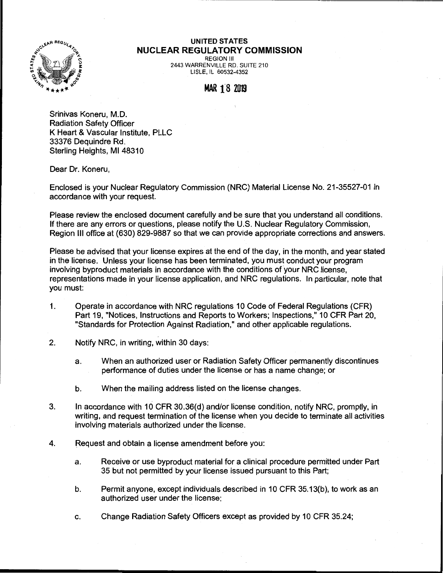

## **UNITED STATES NUCLEAR REGULATORY COMMISSION**

REGION Ill 2443 WARRENVILLE RD. SUITE 210 LISLE, IL 60532-4352

## MAR 18 2019

Srinivas Koneru, M.D. Radiation Safety Officer K Heart & Vascular Institute, PLLC 33376 Dequindre Rd. Sterling Heights, Ml 48310

Dear Dr. Koneru,

Enclosed is your Nuclear Regulatory Commission (NRC) Material License No. 21-35527-01 in accordance with your request.

Please review the enclosed document carefully and be sure that you understand all conditions. If there are any errors or questions, please notify the U.S. Nuclear Regulatory Commission, Region Ill office at (630) 829-9887 so that we can provide appropriate corrections and answers.

Please be advised that your license expires at the end of the day, in the month, and year stated in the license. Unless your license has been terminated, you must conduct your program involving byproduct materials in accordance with the conditions of your NRC license, representations made in your license application, and NRC regulations. In particular, note that you must:

- 1. Operate in accordance with NRC regulations 10 Code of Federal Regulations (CFR) Part 19, "Notices, Instructions and Reports to Workers; Inspections," 10 CFR Part 20, "Standards for Protection Against Radiation," and other applicable regulations.
- 2. Notify NRC, in writing, within 30 days:
	- a. When an authorized user or Radiation Safety Officer permanently discontinues performance of duties under the license or has a name change; or
	- b. When the mailing address listed on the license changes.
- 3. In accordance with 10 CFR 30.36(d) and/or license condition, notify NRC, promptly, in writing, and request termination of the license when you decide to terminate all activities involving materials authorized under the license.
- 4. Request and obtain a license amendment before you:
	- a. Receive or use byproduct material for a clinical procedure permitted under Part 35 but not permitted by your license issued pursuant to this Part;
	- b. Permit anyone, except individuals described in 10 CFR 35.13(b), to work as an authorized user under the license;
	- c. Change Radiation Safety Officers except as provided by 10 CFR 35.24;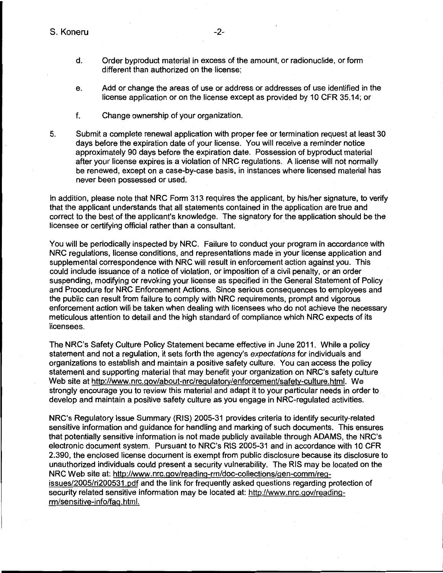- d. Order byproduct material in excess of the amount, or radionuclide, or form different than authorized on the license;
- e. Add or change the areas of use or address or addresses of use identified in the license application or on the license except as provided by 10 CFR 35.14; or
- f. Change ownership of your organization.
- 5. Submit a complete renewal application with proper fee or termination request at least 30 days before the expiration date of your license. You will receive a reminder notice approximately 90 days before the expiration date. Possession of byproduct material after your license expires is a violation of NRC regulations. A license will not normally be renewed, except on a case-by-case basis, in instances where licensed material has never been possessed or used.

In addition, please note that NRC Form 313 requires the applicant, by his/her signature, to verify that the applicant understands that all statements contained in the application are true and correct to the best of the applicant's knowledge. The signatory for the application should be the licensee or certifying official rather than a consultant.

You will be periodically inspected by NRC. Failure to conduct your program in accordance with NRC regulations, license conditions, and representations made in your license application and supplemental correspondence with NRC will result in enforcement action against you. This could include issuance of a notice of violation, or imposition of a civil penalty, or an order suspending, modifying or revoking your license as specified in the General Statement of Policy and Procedure for NRC Enforcement Actions. Since serious consequences to employees and the public can result from failure to comply with NRC requirements, prompt and vigorous enforcement action will be taken when dealing with licensees who do not achieve the necessary meticulous attention to detail and the high standard of compliance which NRC expects of its licensees.

The NRC's Safety Culture Policy Statement became effective in June 2011. While a policy statement and not a regulation, it sets forth the agency's expectations for individuals and organizations to establish and maintain a positive safety culture. You can access the policy statement and supporting material that may benefit your organization on NRC's safety culture Web site at http://www.nrc.gov/about-nrc/regulatory/enforcement/safety-culture.html. We strongly encourage you to review this material and adapt it to your particular needs in order to develop and maintain a positive safety culture as you engage in NRG-regulated activities.

NRC's Regulatory Issue Summary (RIS) 2005-31 provides criteria to identify security-related sensitive information and guidance for handling and marking of such documents. This ensures that potentially sensitive information is not made publicly available through ADAMS, the NRC's electronic document system. Pursuant to NRC's RIS 2005-31 and in accordance with 10 CFR 2.390, the enclosed license document is exempt from public disclosure because its disclosure to unauthorized individuals could present a security vulnerability. The RIS may be located on the NRC Web site at: http://www.nrc.gov/reading-rm/doc-collections/gen-comm/regissues/2005/ri200531.pdf and the link for frequently asked questions regarding protection of security related sensitive information may be located at: http://www.nrc.gov/readingrm/sensitive-info/faq. html.